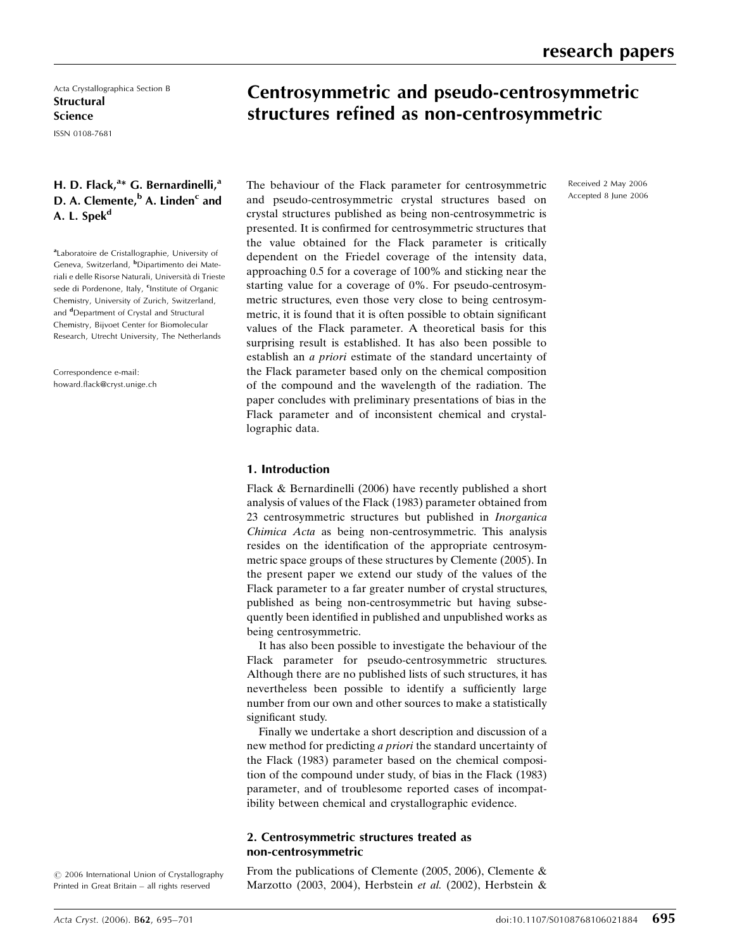Acta Crystallographica Section B **Structural** Science

ISSN 0108-7681

# H. D. Flack,<sup>a\*</sup> G. Bernardinelli,<sup>a</sup> D. A. Clemente,<sup>b</sup> A. Linden<sup>c</sup> and A. L. Spek<sup>d</sup>

<sup>a</sup>Laboratoire de Cristallographie, University of Geneva, Switzerland, <sup>b</sup>Dipartimento dei Materiali e delle Risorse Naturali, Universita` di Trieste sede di Pordenone, Italy, <sup>c</sup>Institute of Organic Chemistry, University of Zurich, Switzerland, and <sup>d</sup>Department of Crystal and Structural Chemistry, Bijvoet Center for Biomolecular Research, Utrecht University, The Netherlands

Correspondence e-mail: howard.flack@cryst.unige.ch

# Centrosymmetric and pseudo-centrosymmetric structures refined as non-centrosymmetric

Received 2 May 2006 Accepted 8 June 2006

The behaviour of the Flack parameter for centrosymmetric and pseudo-centrosymmetric crystal structures based on crystal structures published as being non-centrosymmetric is presented. It is confirmed for centrosymmetric structures that the value obtained for the Flack parameter is critically dependent on the Friedel coverage of the intensity data, approaching 0.5 for a coverage of 100% and sticking near the starting value for a coverage of 0%. For pseudo-centrosymmetric structures, even those very close to being centrosymmetric, it is found that it is often possible to obtain significant values of the Flack parameter. A theoretical basis for this surprising result is established. It has also been possible to establish an a priori estimate of the standard uncertainty of the Flack parameter based only on the chemical composition of the compound and the wavelength of the radiation. The paper concludes with preliminary presentations of bias in the Flack parameter and of inconsistent chemical and crystallographic data.

## 1. Introduction

Flack & Bernardinelli (2006) have recently published a short analysis of values of the Flack (1983) parameter obtained from 23 centrosymmetric structures but published in Inorganica Chimica Acta as being non-centrosymmetric. This analysis resides on the identification of the appropriate centrosymmetric space groups of these structures by Clemente (2005). In the present paper we extend our study of the values of the Flack parameter to a far greater number of crystal structures, published as being non-centrosymmetric but having subsequently been identified in published and unpublished works as being centrosymmetric.

It has also been possible to investigate the behaviour of the Flack parameter for pseudo-centrosymmetric structures. Although there are no published lists of such structures, it has nevertheless been possible to identify a sufficiently large number from our own and other sources to make a statistically significant study.

Finally we undertake a short description and discussion of a new method for predicting a priori the standard uncertainty of the Flack (1983) parameter based on the chemical composition of the compound under study, of bias in the Flack (1983) parameter, and of troublesome reported cases of incompatibility between chemical and crystallographic evidence.

# 2. Centrosymmetric structures treated as non-centrosymmetric

*#* 2006 International Union of Crystallography Printed in Great Britain – all rights reserved From the publications of Clemente (2005, 2006), Clemente & Marzotto (2003, 2004), Herbstein et al. (2002), Herbstein &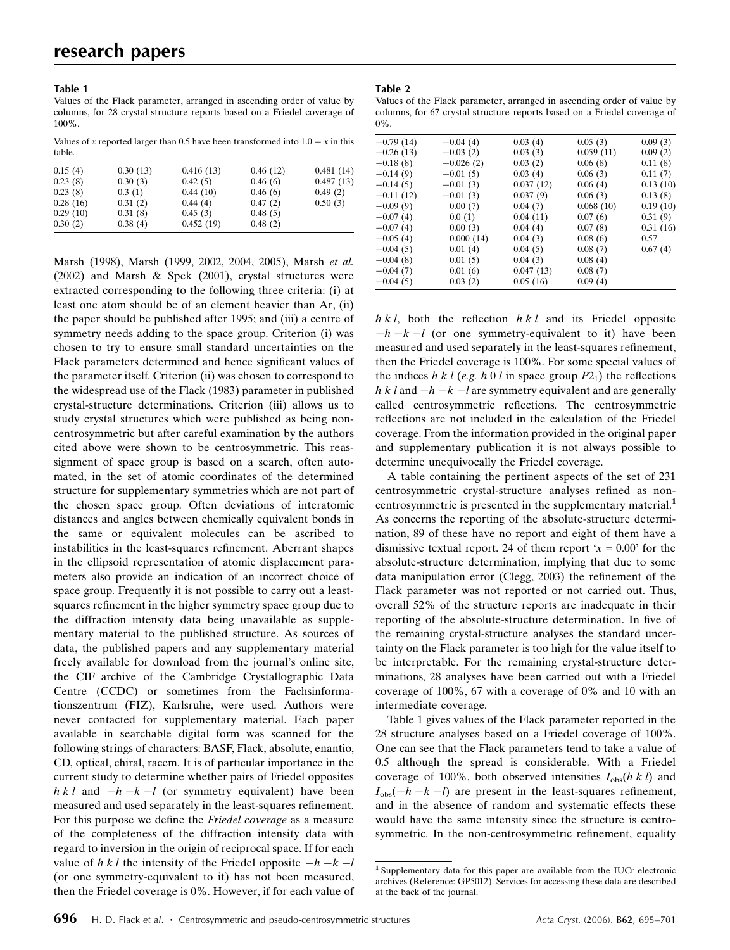#### Table 1

Values of the Flack parameter, arranged in ascending order of value by columns, for 28 crystal-structure reports based on a Friedel coverage of 100%.

Values of x reported larger than 0.5 have been transformed into  $1.0 - x$  in this table.

| 0.15(4)  | 0.30(13) | 0.416(13) | 0.46(12) | 0.481(14) |
|----------|----------|-----------|----------|-----------|
| 0.23(8)  | 0.30(3)  | 0.42(5)   | 0.46(6)  | 0.487(13) |
| 0.23(8)  | 0.3(1)   | 0.44(10)  | 0.46(6)  | 0.49(2)   |
| 0.28(16) | 0.31(2)  | 0.44(4)   | 0.47(2)  | 0.50(3)   |
| 0.29(10) | 0.31(8)  | 0.45(3)   | 0.48(5)  |           |
| 0.30(2)  | 0.38(4)  | 0.452(19) | 0.48(2)  |           |

Marsh (1998), Marsh (1999, 2002, 2004, 2005), Marsh et al. (2002) and Marsh & Spek (2001), crystal structures were extracted corresponding to the following three criteria: (i) at least one atom should be of an element heavier than Ar, (ii) the paper should be published after 1995; and (iii) a centre of symmetry needs adding to the space group. Criterion (i) was chosen to try to ensure small standard uncertainties on the Flack parameters determined and hence significant values of the parameter itself. Criterion (ii) was chosen to correspond to the widespread use of the Flack (1983) parameter in published crystal-structure determinations. Criterion (iii) allows us to study crystal structures which were published as being noncentrosymmetric but after careful examination by the authors cited above were shown to be centrosymmetric. This reassignment of space group is based on a search, often automated, in the set of atomic coordinates of the determined structure for supplementary symmetries which are not part of the chosen space group. Often deviations of interatomic distances and angles between chemically equivalent bonds in the same or equivalent molecules can be ascribed to instabilities in the least-squares refinement. Aberrant shapes in the ellipsoid representation of atomic displacement parameters also provide an indication of an incorrect choice of space group. Frequently it is not possible to carry out a leastsquares refinement in the higher symmetry space group due to the diffraction intensity data being unavailable as supplementary material to the published structure. As sources of data, the published papers and any supplementary material freely available for download from the journal's online site, the CIF archive of the Cambridge Crystallographic Data Centre (CCDC) or sometimes from the Fachsinformationszentrum (FIZ), Karlsruhe, were used. Authors were never contacted for supplementary material. Each paper available in searchable digital form was scanned for the following strings of characters: BASF, Flack, absolute, enantio, CD, optical, chiral, racem. It is of particular importance in the current study to determine whether pairs of Friedel opposites h k l and  $-h - k - l$  (or symmetry equivalent) have been measured and used separately in the least-squares refinement. For this purpose we define the Friedel coverage as a measure of the completeness of the diffraction intensity data with regard to inversion in the origin of reciprocal space. If for each value of h k l the intensity of the Friedel opposite  $-h - k - l$ (or one symmetry-equivalent to it) has not been measured, then the Friedel coverage is 0%. However, if for each value of

#### Table 2

| Values of the Flack parameter, arranged in ascending order of value by   |
|--------------------------------------------------------------------------|
| columns, for 67 crystal-structure reports based on a Friedel coverage of |
| $0\%$ .                                                                  |

| $-0.79(14)$ | $-0.04(4)$  | 0.03(4)   | 0.05(3)   | 0.09(3)  |
|-------------|-------------|-----------|-----------|----------|
| $-0.26(13)$ | $-0.03(2)$  | 0.03(3)   | 0.059(11) | 0.09(2)  |
| $-0.18(8)$  | $-0.026(2)$ | 0.03(2)   | 0.06(8)   | 0.11(8)  |
| $-0.14(9)$  | $-0.01(5)$  | 0.03(4)   | 0.06(3)   | 0.11(7)  |
| $-0.14(5)$  | $-0.01(3)$  | 0.037(12) | 0.06(4)   | 0.13(10) |
| $-0.11(12)$ | $-0.01(3)$  | 0.037(9)  | 0.06(3)   | 0.13(8)  |
| $-0.09(9)$  | 0.00(7)     | 0.04(7)   | 0.068(10) | 0.19(10) |
| $-0.07(4)$  | 0.0(1)      | 0.04(11)  | 0.07(6)   | 0.31(9)  |
| $-0.07(4)$  | 0.00(3)     | 0.04(4)   | 0.07(8)   | 0.31(16) |
| $-0.05(4)$  | 0.000(14)   | 0.04(3)   | 0.08(6)   | 0.57     |
| $-0.04(5)$  | 0.01(4)     | 0.04(5)   | 0.08(7)   | 0.67(4)  |
| $-0.04(8)$  | 0.01(5)     | 0.04(3)   | 0.08(4)   |          |
| $-0.04(7)$  | 0.01(6)     | 0.047(13) | 0.08(7)   |          |
| $-0.04(5)$  | 0.03(2)     | 0.05(16)  | 0.09(4)   |          |
|             |             |           |           |          |

 $h k l$ , both the reflection  $h k l$  and its Friedel opposite  $-h - k - l$  (or one symmetry-equivalent to it) have been measured and used separately in the least-squares refinement, then the Friedel coverage is 100%. For some special values of the indices h k l (e.g. h 0 l in space group  $P2_1$ ) the reflections h k l and  $-h - k - l$  are symmetry equivalent and are generally called centrosymmetric reflections. The centrosymmetric reflections are not included in the calculation of the Friedel coverage. From the information provided in the original paper and supplementary publication it is not always possible to determine unequivocally the Friedel coverage.

A table containing the pertinent aspects of the set of 231 centrosymmetric crystal-structure analyses refined as noncentrosymmetric is presented in the supplementary material.<sup>1</sup> As concerns the reporting of the absolute-structure determination, 89 of these have no report and eight of them have a dismissive textual report. 24 of them report ' $x = 0.00$ ' for the absolute-structure determination, implying that due to some data manipulation error (Clegg, 2003) the refinement of the Flack parameter was not reported or not carried out. Thus, overall 52% of the structure reports are inadequate in their reporting of the absolute-structure determination. In five of the remaining crystal-structure analyses the standard uncertainty on the Flack parameter is too high for the value itself to be interpretable. For the remaining crystal-structure determinations, 28 analyses have been carried out with a Friedel coverage of 100%, 67 with a coverage of 0% and 10 with an intermediate coverage.

Table 1 gives values of the Flack parameter reported in the 28 structure analyses based on a Friedel coverage of 100%. One can see that the Flack parameters tend to take a value of 0.5 although the spread is considerable. With a Friedel coverage of 100%, both observed intensities  $I_{obs}(h k l)$  and  $I_{obs}(-h - k - l)$  are present in the least-squares refinement, and in the absence of random and systematic effects these would have the same intensity since the structure is centrosymmetric. In the non-centrosymmetric refinement, equality

<sup>1</sup> Supplementary data for this paper are available from the IUCr electronic archives (Reference: GP5012). Services for accessing these data are described at the back of the journal.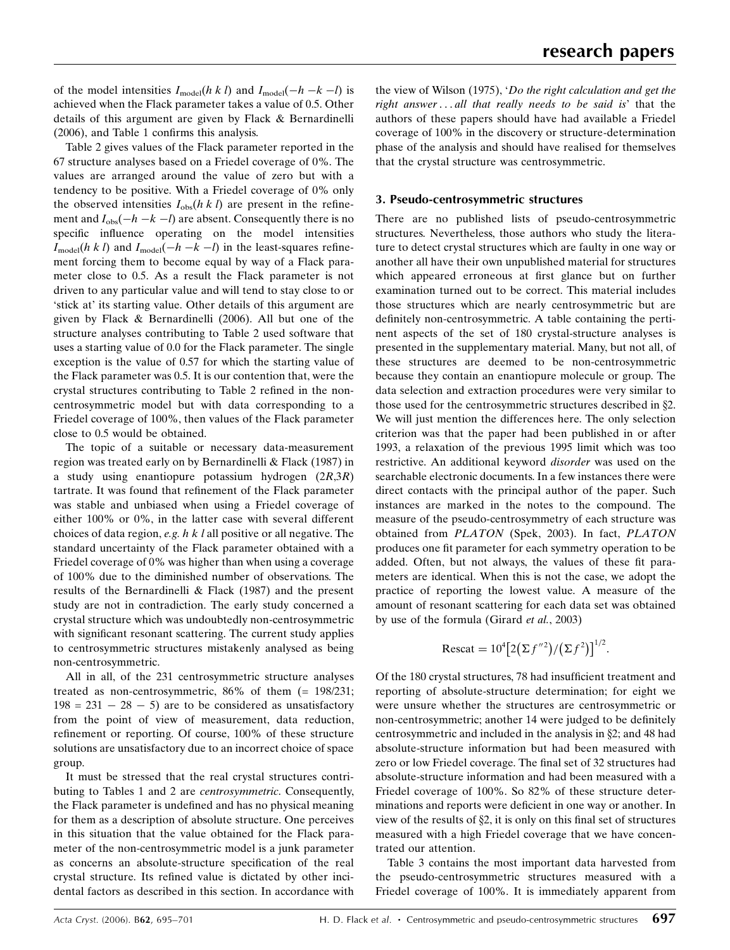of the model intensities  $I_{\text{model}}(h k l)$  and  $I_{\text{model}}(-h - k - l)$  is achieved when the Flack parameter takes a value of 0.5. Other details of this argument are given by Flack & Bernardinelli (2006), and Table 1 confirms this analysis.

Table 2 gives values of the Flack parameter reported in the 67 structure analyses based on a Friedel coverage of 0%. The values are arranged around the value of zero but with a tendency to be positive. With a Friedel coverage of 0% only the observed intensities  $I_{obs}(h k l)$  are present in the refinement and  $I_{obs}(-h - k - l)$  are absent. Consequently there is no specific influence operating on the model intensities  $I_{\text{model}}(h k l)$  and  $I_{\text{model}}(-h - k - l)$  in the least-squares refinement forcing them to become equal by way of a Flack parameter close to 0.5. As a result the Flack parameter is not driven to any particular value and will tend to stay close to or 'stick at' its starting value. Other details of this argument are given by Flack & Bernardinelli (2006). All but one of the structure analyses contributing to Table 2 used software that uses a starting value of 0.0 for the Flack parameter. The single exception is the value of 0.57 for which the starting value of the Flack parameter was 0.5. It is our contention that, were the crystal structures contributing to Table 2 refined in the noncentrosymmetric model but with data corresponding to a Friedel coverage of 100%, then values of the Flack parameter close to 0.5 would be obtained.

The topic of a suitable or necessary data-measurement region was treated early on by Bernardinelli & Flack (1987) in a study using enantiopure potassium hydrogen (2R,3R) tartrate. It was found that refinement of the Flack parameter was stable and unbiased when using a Friedel coverage of either 100% or 0%, in the latter case with several different choices of data region, e.g.  $h \, k \, l$  all positive or all negative. The standard uncertainty of the Flack parameter obtained with a Friedel coverage of 0% was higher than when using a coverage of 100% due to the diminished number of observations. The results of the Bernardinelli & Flack (1987) and the present study are not in contradiction. The early study concerned a crystal structure which was undoubtedly non-centrosymmetric with significant resonant scattering. The current study applies to centrosymmetric structures mistakenly analysed as being non-centrosymmetric.

All in all, of the 231 centrosymmetric structure analyses treated as non-centrosymmetric, 86% of them (= 198/231;  $198 = 231 - 28 - 5$  are to be considered as unsatisfactory from the point of view of measurement, data reduction, refinement or reporting. Of course, 100% of these structure solutions are unsatisfactory due to an incorrect choice of space group.

It must be stressed that the real crystal structures contributing to Tables 1 and 2 are centrosymmetric. Consequently, the Flack parameter is undefined and has no physical meaning for them as a description of absolute structure. One perceives in this situation that the value obtained for the Flack parameter of the non-centrosymmetric model is a junk parameter as concerns an absolute-structure specification of the real crystal structure. Its refined value is dictated by other incidental factors as described in this section. In accordance with the view of Wilson (1975), 'Do the right calculation and get the right answer... all that really needs to be said is' that the authors of these papers should have had available a Friedel coverage of 100% in the discovery or structure-determination phase of the analysis and should have realised for themselves that the crystal structure was centrosymmetric.

### 3. Pseudo-centrosymmetric structures

There are no published lists of pseudo-centrosymmetric structures. Nevertheless, those authors who study the literature to detect crystal structures which are faulty in one way or another all have their own unpublished material for structures which appeared erroneous at first glance but on further examination turned out to be correct. This material includes those structures which are nearly centrosymmetric but are definitely non-centrosymmetric. A table containing the pertinent aspects of the set of 180 crystal-structure analyses is presented in the supplementary material. Many, but not all, of these structures are deemed to be non-centrosymmetric because they contain an enantiopure molecule or group. The data selection and extraction procedures were very similar to those used for the centrosymmetric structures described in  $\S2$ . We will just mention the differences here. The only selection criterion was that the paper had been published in or after 1993, a relaxation of the previous 1995 limit which was too restrictive. An additional keyword disorder was used on the searchable electronic documents. In a few instances there were direct contacts with the principal author of the paper. Such instances are marked in the notes to the compound. The measure of the pseudo-centrosymmetry of each structure was obtained from PLATON (Spek, 2003). In fact, PLATON produces one fit parameter for each symmetry operation to be added. Often, but not always, the values of these fit parameters are identical. When this is not the case, we adopt the practice of reporting the lowest value. A measure of the amount of resonant scattering for each data set was obtained by use of the formula (Girard et al., 2003)

$$
\text{Rescat} = 10^4 \big[ 2(\Sigma f''^2) / (\Sigma f^2) \big]^{1/2}.
$$

Of the 180 crystal structures, 78 had insufficient treatment and reporting of absolute-structure determination; for eight we were unsure whether the structures are centrosymmetric or non-centrosymmetric; another 14 were judged to be definitely centrosymmetric and included in the analysis in  $\S2$ ; and 48 had absolute-structure information but had been measured with zero or low Friedel coverage. The final set of 32 structures had absolute-structure information and had been measured with a Friedel coverage of 100%. So 82% of these structure determinations and reports were deficient in one way or another. In view of the results of  $\S2$ , it is only on this final set of structures measured with a high Friedel coverage that we have concentrated our attention.

Table 3 contains the most important data harvested from the pseudo-centrosymmetric structures measured with a Friedel coverage of 100%. It is immediately apparent from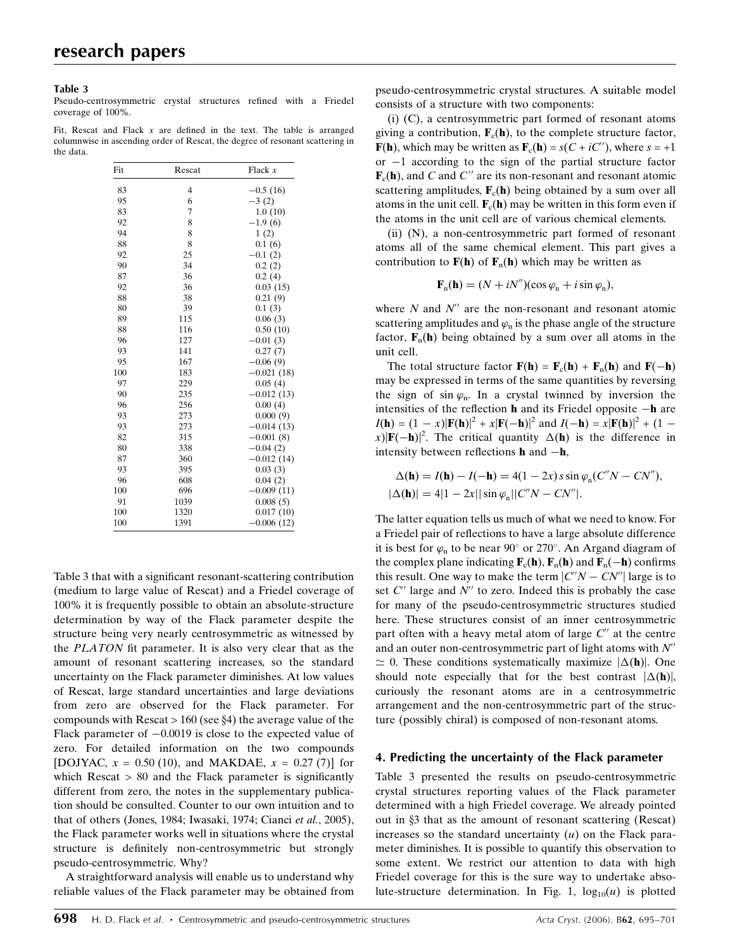#### Table 3

Pseudo-centrosymmetric crystal structures refined with a Friedel coverage of 100%.

Fit. Rescat and Flack  $x$  are defined in the text. The table is arranged columnwise in ascending order of Rescat, the degree of resonant scattering in the data.

| Fit | Rescat | Flack $x$    |  |
|-----|--------|--------------|--|
| 83  | 4      | $-0.5(16)$   |  |
| 95  | 6      | $-3(2)$      |  |
| 83  | 7      | 1.0(10)      |  |
| 92  | 8      | $-1.9(6)$    |  |
| 94  | 8      | 1(2)         |  |
| 88  | 8      | 0.1(6)       |  |
| 92  | 25     | $-0.1(2)$    |  |
| 90  | 34     | 0.2(2)       |  |
| 87  | 36     | 0.2(4)       |  |
| 92  | 36     | 0.03(15)     |  |
| 88  | 38     | 0.21(9)      |  |
| 80  | 39     | 0.1(3)       |  |
| 89  | 115    | 0.06(3)      |  |
| 88  | 116    | 0.50(10)     |  |
| 96  | 127    | $-0.01(3)$   |  |
| 93  | 141    | 0.27(7)      |  |
| 95  | 167    | $-0.06(9)$   |  |
| 100 | 183    | $-0.021(18)$ |  |
| 97  | 229    | 0.05(4)      |  |
| 90  | 235    | $-0.012(13)$ |  |
| 96  | 256    | 0.00(4)      |  |
| 93  | 273    | 0.000(9)     |  |
| 93  | 273    | $-0.014(13)$ |  |
| 82  | 315    | $-0.001(8)$  |  |
| 80  | 338    | $-0.04(2)$   |  |
| 87  | 360    | $-0.012(14)$ |  |
| 93  | 395    | 0.03(3)      |  |
| 96  | 608    | 0.04(2)      |  |
| 100 | 696    | 0.009(11)    |  |
| 91  | 1039   | 0.008(5)     |  |
| 100 | 1320   | 0.017(10)    |  |
| 100 | 1391   | $-0.006(12)$ |  |

Table 3 that with a significant resonant-scattering contribution (medium to large value of Rescat) and a Friedel coverage of 100% it is frequently possible to obtain an absolute-structure determination by way of the Flack parameter despite the structure being very nearly centrosymmetric as witnessed by the PLATON fit parameter. It is also very clear that as the amount of resonant scattering increases, so the standard uncertainty on the Flack parameter diminishes. At low values of Rescat, large standard uncertainties and large deviations from zero are observed for the Flack parameter. For compounds with Rescat  $> 160$  (see §4) the average value of the Flack parameter of  $-0.0019$  is close to the expected value of zero. For detailed information on the two compounds [DOJYAC,  $x = 0.50$  (10), and MAKDAE,  $x = 0.27$  (7)] for which  $Rescat > 80$  and the Flack parameter is significantly different from zero, the notes in the supplementary publication should be consulted. Counter to our own intuition and to that of others (Jones, 1984; Iwasaki, 1974; Cianci et al., 2005), the Flack parameter works well in situations where the crystal structure is definitely non-centrosymmetric but strongly pseudo-centrosymmetric. Why?

A straightforward analysis will enable us to understand why reliable values of the Flack parameter may be obtained from pseudo-centrosymmetric crystal structures. A suitable model consists of a structure with two components:

(i) (C), a centrosymmetric part formed of resonant atoms giving a contribution,  $\mathbf{F}_c(\mathbf{h})$ , to the complete structure factor, **, which may be written as**  $**F**<sub>c</sub>(**h**) = s(C + iC'')$ **, where**  $s = +1$ or  $-1$  according to the sign of the partial structure factor  $\mathbf{F}_c(\mathbf{h})$ , and C and C'' are its non-resonant and resonant atomic scattering amplitudes,  $\mathbf{F}_c(\mathbf{h})$  being obtained by a sum over all atoms in the unit cell.  $\mathbf{F}_c(\mathbf{h})$  may be written in this form even if the atoms in the unit cell are of various chemical elements.

(ii) (N), a non-centrosymmetric part formed of resonant atoms all of the same chemical element. This part gives a contribution to  $F(h)$  of  $F_n(h)$  which may be written as

$$
\mathbf{F}_{n}(\mathbf{h}) = (N + iN'')(\cos \varphi_{n} + i \sin \varphi_{n}),
$$

where  $N$  and  $N''$  are the non-resonant and resonant atomic scattering amplitudes and  $\varphi_n$  is the phase angle of the structure factor,  $F_n(h)$  being obtained by a sum over all atoms in the unit cell.

The total structure factor  $F(h) = F_c(h) + F_n(h)$  and  $F(-h)$ may be expressed in terms of the same quantities by reversing the sign of sin  $\varphi_n$ . In a crystal twinned by inversion the intensities of the reflection  **and its Friedel opposite**  $-\mathbf{h}$  **are**  $I(\mathbf{h}) = (1 - x)|\mathbf{F}(\mathbf{h})|^2 + x|\mathbf{F}(-\mathbf{h})|^2$  and  $I(-\mathbf{h}) = x|\mathbf{F}(\mathbf{h})|^2 + (1 - x)\mathbf{F}(\mathbf{h})$ x)| $\mathbf{F}(-\mathbf{h})^2$ . The critical quantity  $\Delta(\mathbf{h})$  is the difference in intensity between reflections **h** and  $-h$ ,

$$
\Delta(\mathbf{h}) = I(\mathbf{h}) - I(-\mathbf{h}) = 4(1 - 2x) s \sin \varphi_n (C''N - CN''),
$$
  
 
$$
|\Delta(\mathbf{h})| = 4|1 - 2x| |\sin \varphi_n| |C''N - CN''|.
$$

The latter equation tells us much of what we need to know. For a Friedel pair of reflections to have a large absolute difference it is best for  $\varphi_n$  to be near 90° or 270°. An Argand diagram of the complex plane indicating  $\mathbf{F}_c(\mathbf{h})$ ,  $\mathbf{F}_n(\mathbf{h})$  and  $\mathbf{F}_n(-\mathbf{h})$  confirms this result. One way to make the term  $|C''N - CN''|$  large is to set  $C''$  large and  $N''$  to zero. Indeed this is probably the case for many of the pseudo-centrosymmetric structures studied here. These structures consist of an inner centrosymmetric part often with a heavy metal atom of large  $C''$  at the centre and an outer non-centrosymmetric part of light atoms with  $N''$  $\approx$  0. These conditions systematically maximize  $|\Delta(\mathbf{h})|$ . One should note especially that for the best contrast  $|\Delta(\mathbf{h})|$ , curiously the resonant atoms are in a centrosymmetric arrangement and the non-centrosymmetric part of the structure (possibly chiral) is composed of non-resonant atoms.

## 4. Predicting the uncertainty of the Flack parameter

Table 3 presented the results on pseudo-centrosymmetric crystal structures reporting values of the Flack parameter determined with a high Friedel coverage. We already pointed out in  $\S$ 3 that as the amount of resonant scattering (Rescat) increases so the standard uncertainty  $(u)$  on the Flack parameter diminishes. It is possible to quantify this observation to some extent. We restrict our attention to data with high Friedel coverage for this is the sure way to undertake absolute-structure determination. In Fig. 1,  $log_{10}(u)$  is plotted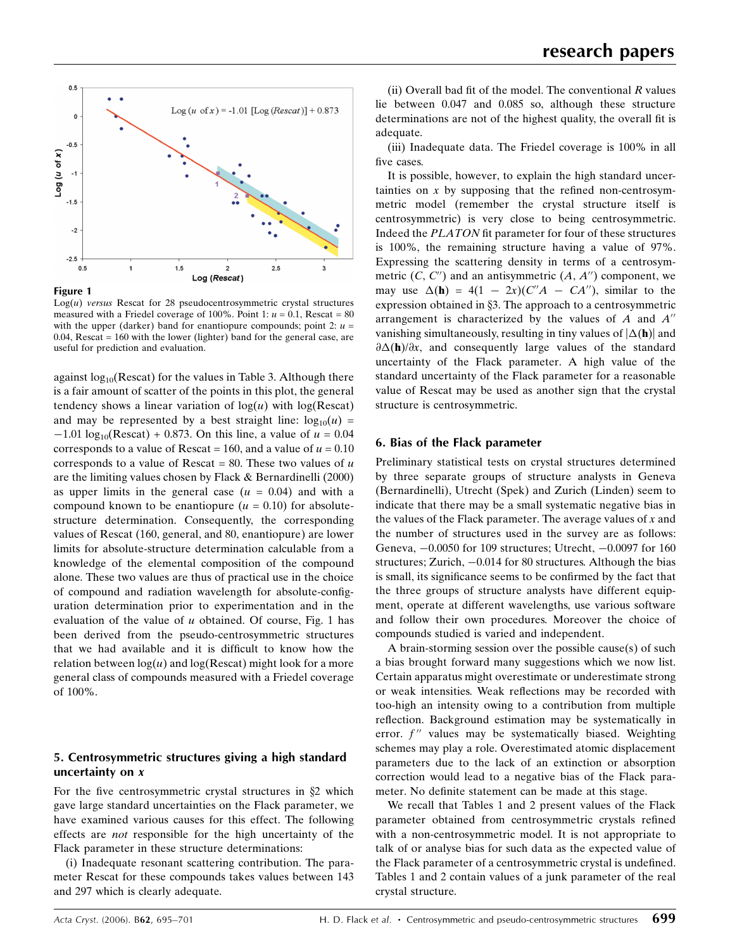

 $Log(u)$  versus Rescat for 28 pseudocentrosymmetric crystal structures measured with a Friedel coverage of 100%. Point 1:  $u = 0.1$ , Rescat = 80 with the upper (darker) band for enantiopure compounds; point 2:  $u =$  $0.04$ , Rescat = 160 with the lower (lighter) band for the general case, are useful for prediction and evaluation.

against  $log_{10}(Rescat)$  for the values in Table 3. Although there is a fair amount of scatter of the points in this plot, the general tendency shows a linear variation of  $log(u)$  with  $log(Rescat)$ and may be represented by a best straight line:  $log_{10}(u)$  =  $-1.01 \log_{10}($ Rescat) + 0.873. On this line, a value of  $u = 0.04$ corresponds to a value of Rescat = 160, and a value of  $u = 0.10$ corresponds to a value of Rescat = 80. These two values of  $u$ are the limiting values chosen by Flack & Bernardinelli (2000) as upper limits in the general case  $(u = 0.04)$  and with a compound known to be enantiopure  $(u = 0.10)$  for absolutestructure determination. Consequently, the corresponding values of Rescat (160, general, and 80, enantiopure) are lower limits for absolute-structure determination calculable from a knowledge of the elemental composition of the compound alone. These two values are thus of practical use in the choice of compound and radiation wavelength for absolute-configuration determination prior to experimentation and in the evaluation of the value of  $u$  obtained. Of course, Fig. 1 has been derived from the pseudo-centrosymmetric structures that we had available and it is difficult to know how the relation between  $log(u)$  and  $log(Rescat)$  might look for a more general class of compounds measured with a Friedel coverage of 100%.

# 5. Centrosymmetric structures giving a high standard uncertainty on *x*

For the five centrosymmetric crystal structures in  $\S$ 2 which gave large standard uncertainties on the Flack parameter, we have examined various causes for this effect. The following effects are not responsible for the high uncertainty of the Flack parameter in these structure determinations:

(i) Inadequate resonant scattering contribution. The parameter Rescat for these compounds takes values between 143 and 297 which is clearly adequate.

(ii) Overall bad fit of the model. The conventional  *values* lie between 0.047 and 0.085 so, although these structure determinations are not of the highest quality, the overall fit is adequate.

(iii) Inadequate data. The Friedel coverage is 100% in all five cases.

It is possible, however, to explain the high standard uncertainties on  $x$  by supposing that the refined non-centrosymmetric model (remember the crystal structure itself is centrosymmetric) is very close to being centrosymmetric. Indeed the PLATON fit parameter for four of these structures is 100%, the remaining structure having a value of 97%. Expressing the scattering density in terms of a centrosymmetric  $(C, C'')$  and an antisymmetric  $(A, A'')$  component, we may use  $\Delta(\mathbf{h}) = 4(1 - 2x)(C'A - CA'')$ , similar to the expression obtained in §3. The approach to a centrosymmetric arrangement is characterized by the values of  $A$  and  $A$ <sup>"</sup> vanishing simultaneously, resulting in tiny values of  $|\Delta(\mathbf{h})|$  and  $\partial \Delta(\mathbf{h})/\partial x$ , and consequently large values of the standard uncertainty of the Flack parameter. A high value of the standard uncertainty of the Flack parameter for a reasonable value of Rescat may be used as another sign that the crystal structure is centrosymmetric.

## 6. Bias of the Flack parameter

Preliminary statistical tests on crystal structures determined by three separate groups of structure analysts in Geneva (Bernardinelli), Utrecht (Spek) and Zurich (Linden) seem to indicate that there may be a small systematic negative bias in the values of the Flack parameter. The average values of  $x$  and the number of structures used in the survey are as follows: Geneva,  $-0.0050$  for 109 structures; Utrecht,  $-0.0097$  for 160 structures; Zurich,  $-0.014$  for 80 structures. Although the bias is small, its significance seems to be confirmed by the fact that the three groups of structure analysts have different equipment, operate at different wavelengths, use various software and follow their own procedures. Moreover the choice of compounds studied is varied and independent.

A brain-storming session over the possible cause(s) of such a bias brought forward many suggestions which we now list. Certain apparatus might overestimate or underestimate strong or weak intensities. Weak reflections may be recorded with too-high an intensity owing to a contribution from multiple reflection. Background estimation may be systematically in error.  $f''$  values may be systematically biased. Weighting schemes may play a role. Overestimated atomic displacement parameters due to the lack of an extinction or absorption correction would lead to a negative bias of the Flack parameter. No definite statement can be made at this stage.

We recall that Tables 1 and 2 present values of the Flack parameter obtained from centrosymmetric crystals refined with a non-centrosymmetric model. It is not appropriate to talk of or analyse bias for such data as the expected value of the Flack parameter of a centrosymmetric crystal is undefined. Tables 1 and 2 contain values of a junk parameter of the real crystal structure.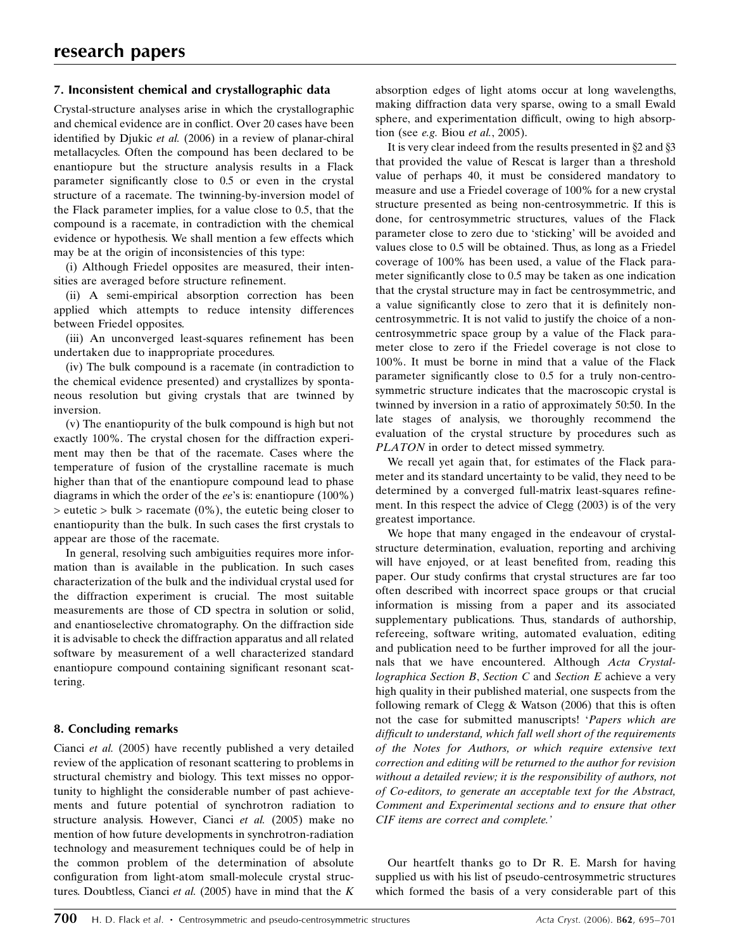# 7. Inconsistent chemical and crystallographic data

Crystal-structure analyses arise in which the crystallographic and chemical evidence are in conflict. Over 20 cases have been identified by Djukic et al. (2006) in a review of planar-chiral metallacycles. Often the compound has been declared to be enantiopure but the structure analysis results in a Flack parameter significantly close to 0.5 or even in the crystal structure of a racemate. The twinning-by-inversion model of the Flack parameter implies, for a value close to 0.5, that the compound is a racemate, in contradiction with the chemical evidence or hypothesis. We shall mention a few effects which may be at the origin of inconsistencies of this type:

(i) Although Friedel opposites are measured, their intensities are averaged before structure refinement.

(ii) A semi-empirical absorption correction has been applied which attempts to reduce intensity differences between Friedel opposites.

(iii) An unconverged least-squares refinement has been undertaken due to inappropriate procedures.

(iv) The bulk compound is a racemate (in contradiction to the chemical evidence presented) and crystallizes by spontaneous resolution but giving crystals that are twinned by inversion.

(v) The enantiopurity of the bulk compound is high but not exactly 100%. The crystal chosen for the diffraction experiment may then be that of the racemate. Cases where the temperature of fusion of the crystalline racemate is much higher than that of the enantiopure compound lead to phase diagrams in which the order of the ee's is: enantiopure (100%)  $>$  eutetic  $>$  bulk  $>$  racemate (0%), the eutetic being closer to enantiopurity than the bulk. In such cases the first crystals to appear are those of the racemate.

In general, resolving such ambiguities requires more information than is available in the publication. In such cases characterization of the bulk and the individual crystal used for the diffraction experiment is crucial. The most suitable measurements are those of CD spectra in solution or solid, and enantioselective chromatography. On the diffraction side it is advisable to check the diffraction apparatus and all related software by measurement of a well characterized standard enantiopure compound containing significant resonant scattering.

# 8. Concluding remarks

Cianci et al. (2005) have recently published a very detailed review of the application of resonant scattering to problems in structural chemistry and biology. This text misses no opportunity to highlight the considerable number of past achievements and future potential of synchrotron radiation to structure analysis. However, Cianci et al. (2005) make no mention of how future developments in synchrotron-radiation technology and measurement techniques could be of help in the common problem of the determination of absolute configuration from light-atom small-molecule crystal structures. Doubtless, Cianci et al.  $(2005)$  have in mind that the K absorption edges of light atoms occur at long wavelengths, making diffraction data very sparse, owing to a small Ewald sphere, and experimentation difficult, owing to high absorption (see  $e.g.$  Biou  $et$   $al., 2005$ ).

It is very clear indeed from the results presented in  $\S$ 2 and  $\S$ 3 that provided the value of Rescat is larger than a threshold value of perhaps 40, it must be considered mandatory to measure and use a Friedel coverage of 100% for a new crystal structure presented as being non-centrosymmetric. If this is done, for centrosymmetric structures, values of the Flack parameter close to zero due to 'sticking' will be avoided and values close to 0.5 will be obtained. Thus, as long as a Friedel coverage of 100% has been used, a value of the Flack parameter significantly close to 0.5 may be taken as one indication that the crystal structure may in fact be centrosymmetric, and a value significantly close to zero that it is definitely noncentrosymmetric. It is not valid to justify the choice of a noncentrosymmetric space group by a value of the Flack parameter close to zero if the Friedel coverage is not close to 100%. It must be borne in mind that a value of the Flack parameter significantly close to 0.5 for a truly non-centrosymmetric structure indicates that the macroscopic crystal is twinned by inversion in a ratio of approximately 50:50. In the late stages of analysis, we thoroughly recommend the evaluation of the crystal structure by procedures such as PLATON in order to detect missed symmetry.

We recall yet again that, for estimates of the Flack parameter and its standard uncertainty to be valid, they need to be determined by a converged full-matrix least-squares refinement. In this respect the advice of Clegg (2003) is of the very greatest importance.

We hope that many engaged in the endeavour of crystalstructure determination, evaluation, reporting and archiving will have enjoyed, or at least benefited from, reading this paper. Our study confirms that crystal structures are far too often described with incorrect space groups or that crucial information is missing from a paper and its associated supplementary publications. Thus, standards of authorship, refereeing, software writing, automated evaluation, editing and publication need to be further improved for all the journals that we have encountered. Although Acta Crystallographica Section B, Section C and Section E achieve a very high quality in their published material, one suspects from the following remark of Clegg & Watson (2006) that this is often not the case for submitted manuscripts! 'Papers which are difficult to understand, which fall well short of the requirements of the Notes for Authors, or which require extensive text correction and editing will be returned to the author for revision without a detailed review; it is the responsibility of authors, not of Co-editors, to generate an acceptable text for the Abstract, Comment and Experimental sections and to ensure that other CIF items are correct and complete.'

Our heartfelt thanks go to Dr R. E. Marsh for having supplied us with his list of pseudo-centrosymmetric structures which formed the basis of a very considerable part of this